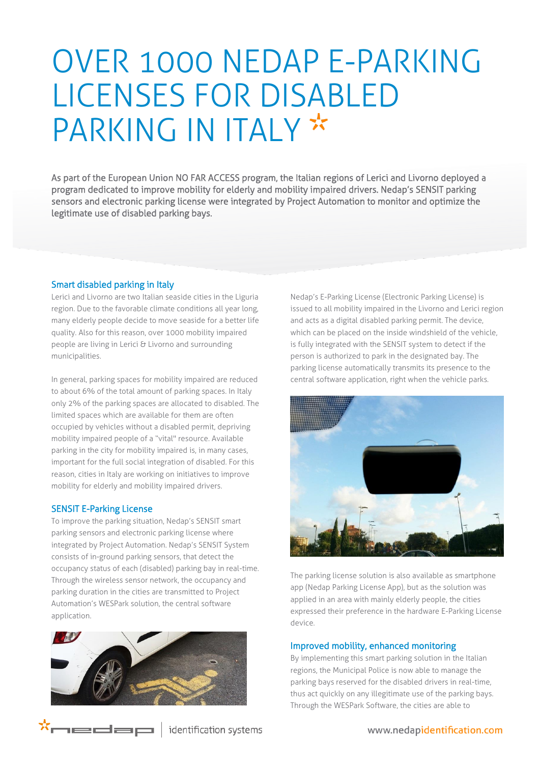# OVER 1000 NEDAP E-PARKING LICENSES FOR DISABLED PARKING IN ITALY \*

As part of the European Union NO FAR ACCESS program, the Italian regions of Lerici and Livorno deployed a program dedicated to improve mobility for elderly and mobility impaired drivers. Nedap's SENSIT parking sensors and electronic parking license were integrated by Project Automation to monitor and optimize the legitimate use of disabled parking bays.

## Smart disabled parking in Italy

Lerici and Livorno are two Italian seaside cities in the Liguria region. Due to the favorable climate conditions all year long, many elderly people decide to move seaside for a better life quality. Also for this reason, over 1000 mobility impaired people are living in Lerici & Livorno and surrounding municipalities.

In general, parking spaces for mobility impaired are reduced to about 6% of the total amount of parking spaces. In Italy only 2% of the parking spaces are allocated to disabled. The limited spaces which are available for them are often occupied by vehicles without a disabled permit, depriving mobility impaired people of a "vital" resource. Available parking in the city for mobility impaired is, in many cases, important for the full social integration of disabled. For this reason, cities in Italy are working on initiatives to improve mobility for elderly and mobility impaired drivers.

#### SENSIT E-Parking License

\*medap

To improve the parking situation, Nedap's SENSIT smart parking sensors and electronic parking license where integrated by Project Automation. Nedap's SENSIT System consists of in-ground parking sensors, that detect the occupancy status of each (disabled) parking bay in real-time. Through the wireless sensor network, the occupancy and parking duration in the cities are transmitted to Project Automation's WESPark solution, the central software application.



Nedap's E-Parking License (Electronic Parking License) is issued to all mobility impaired in the Livorno and Lerici region and acts as a digital disabled parking permit. The device, which can be placed on the inside windshield of the vehicle, is fully integrated with the SENSIT system to detect if the person is authorized to park in the designated bay. The parking license automatically transmits its presence to the central software application, right when the vehicle parks.



The parking license solution is also available as smartphone app (Nedap Parking License App), but as the solution was applied in an area with mainly elderly people, the cities expressed their preference in the hardware E-Parking License device.

#### Improved mobility, enhanced monitoring

By implementing this smart parking solution in the Italian regions, the Municipal Police is now able to manage the parking bays reserved for the disabled drivers in real-time, thus act quickly on any illegitimate use of the parking bays. Through the WESPark Software, the cities are able to

identification systems